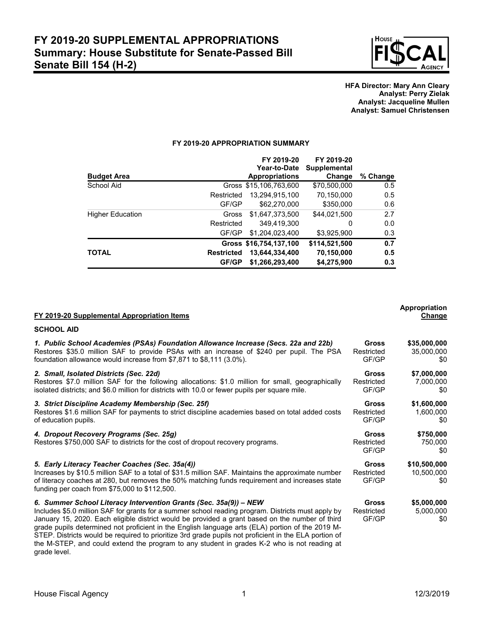

### **HFA Director: Mary Ann Cleary Analyst: Perry Zielak Analyst: Jacqueline Mullen Analyst: Samuel Christensen**

# **FY 2019-20 APPROPRIATION SUMMARY**

|                  |                   | FY 2019-20<br>Year-to-Date | FY 2019-20<br><b>Supplemental</b> |          |
|------------------|-------------------|----------------------------|-----------------------------------|----------|
| Budget Area      |                   | <b>Appropriations</b>      | Change                            | % Change |
| School Aid       |                   | Gross \$15,106,763,600     | \$70,500,000                      | 0.5      |
|                  | Restricted        | 13.294.915.100             | 70,150,000                        | 0.5      |
|                  | GF/GP             | \$62,270,000               | \$350,000                         | 0.6      |
| Higher Education | Gross             | \$1,647,373,500            | \$44,021,500                      | 2.7      |
|                  | Restricted        | 349.419.300                | 0                                 | 0.0      |
|                  | GF/GP             | \$1,204,023,400            | \$3,925,900                       | 0.3      |
|                  |                   | Gross \$16,754,137,100     | \$114,521,500                     | 0.7      |
| TOTAL            | <b>Restricted</b> | 13,644,334,400             | 70,150,000                        | 0.5      |
|                  | GF/GP             | \$1,266,293,400            | \$4,275,900                       | 0.3      |

| FY 2019-20 Supplemental Appropriation Items                                                                                                                                                                                                                                                                                                                                                                                                                                                                                                                                            |                                     | <b>Appropriation</b><br>Change    |
|----------------------------------------------------------------------------------------------------------------------------------------------------------------------------------------------------------------------------------------------------------------------------------------------------------------------------------------------------------------------------------------------------------------------------------------------------------------------------------------------------------------------------------------------------------------------------------------|-------------------------------------|-----------------------------------|
| <b>SCHOOL AID</b>                                                                                                                                                                                                                                                                                                                                                                                                                                                                                                                                                                      |                                     |                                   |
| 1. Public School Academies (PSAs) Foundation Allowance Increase (Secs. 22a and 22b)<br>Restores \$35.0 million SAF to provide PSAs with an increase of \$240 per pupil. The PSA<br>foundation allowance would increase from \$7,871 to \$8,111 (3.0%).                                                                                                                                                                                                                                                                                                                                 | Gross<br>Restricted<br>GF/GP        | \$35,000,000<br>35,000,000<br>\$0 |
| 2. Small, Isolated Districts (Sec. 22d)<br>Restores \$7.0 million SAF for the following allocations: \$1.0 million for small, geographically<br>isolated districts; and \$6.0 million for districts with 10.0 or fewer pupils per square mile.                                                                                                                                                                                                                                                                                                                                         | <b>Gross</b><br>Restricted<br>GF/GP | \$7,000,000<br>7,000,000<br>\$0   |
| 3. Strict Discipline Academy Membership (Sec. 25f)<br>Restores \$1.6 million SAF for payments to strict discipline academies based on total added costs<br>of education pupils.                                                                                                                                                                                                                                                                                                                                                                                                        | Gross<br>Restricted<br>GF/GP        | \$1,600,000<br>1,600,000<br>\$0   |
| 4. Dropout Recovery Programs (Sec. 25g)<br>Restores \$750,000 SAF to districts for the cost of dropout recovery programs.                                                                                                                                                                                                                                                                                                                                                                                                                                                              | <b>Gross</b><br>Restricted<br>GF/GP | \$750,000<br>750,000<br>\$0       |
| 5. Early Literacy Teacher Coaches (Sec. 35a(4))<br>Increases by \$10.5 million SAF to a total of \$31.5 million SAF. Maintains the approximate number<br>of literacy coaches at 280, but removes the 50% matching funds requirement and increases state<br>funding per coach from \$75,000 to \$112,500.                                                                                                                                                                                                                                                                               |                                     | \$10,500,000<br>10,500,000<br>\$0 |
| 6. Summer School Literacy Intervention Grants (Sec. 35a(9)) - NEW<br>Includes \$5.0 million SAF for grants for a summer school reading program. Districts must apply by<br>January 15, 2020. Each eligible district would be provided a grant based on the number of third<br>grade pupils determined not proficient in the English language arts (ELA) portion of the 2019 M-<br>STEP. Districts would be required to prioritize 3rd grade pupils not proficient in the ELA portion of<br>the M-STEP, and could extend the program to any student in grades K-2 who is not reading at | <b>Gross</b><br>Restricted<br>GF/GP | \$5,000,000<br>5,000,000<br>\$0   |

grade level.